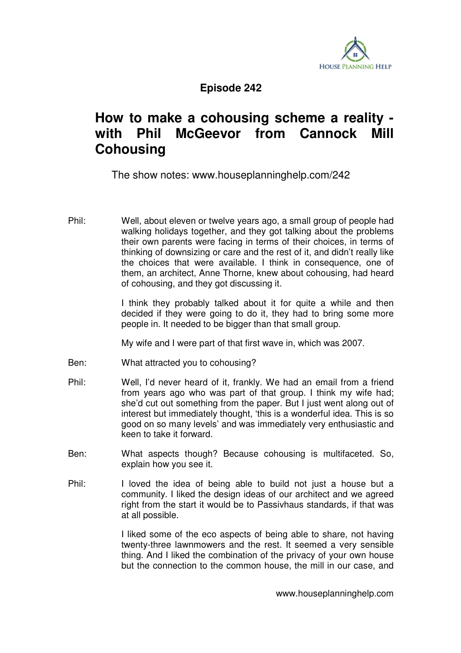

## **Episode 242**

## **How to make a cohousing scheme a reality with Phil McGeevor from Cannock Mill Cohousing**

The show notes: www.houseplanninghelp.com/242

Phil: Well, about eleven or twelve years ago, a small group of people had walking holidays together, and they got talking about the problems their own parents were facing in terms of their choices, in terms of thinking of downsizing or care and the rest of it, and didn't really like the choices that were available. I think in consequence, one of them, an architect, Anne Thorne, knew about cohousing, had heard of cohousing, and they got discussing it.

> I think they probably talked about it for quite a while and then decided if they were going to do it, they had to bring some more people in. It needed to be bigger than that small group.

My wife and I were part of that first wave in, which was 2007.

- Ben: What attracted you to cohousing?
- Phil: Well, I'd never heard of it, frankly. We had an email from a friend from years ago who was part of that group. I think my wife had; she'd cut out something from the paper. But I just went along out of interest but immediately thought, 'this is a wonderful idea. This is so good on so many levels' and was immediately very enthusiastic and keen to take it forward.
- Ben: What aspects though? Because cohousing is multifaceted. So, explain how you see it.
- Phil: I loved the idea of being able to build not just a house but a community. I liked the design ideas of our architect and we agreed right from the start it would be to Passivhaus standards, if that was at all possible.

 I liked some of the eco aspects of being able to share, not having twenty-three lawnmowers and the rest. It seemed a very sensible thing. And I liked the combination of the privacy of your own house but the connection to the common house, the mill in our case, and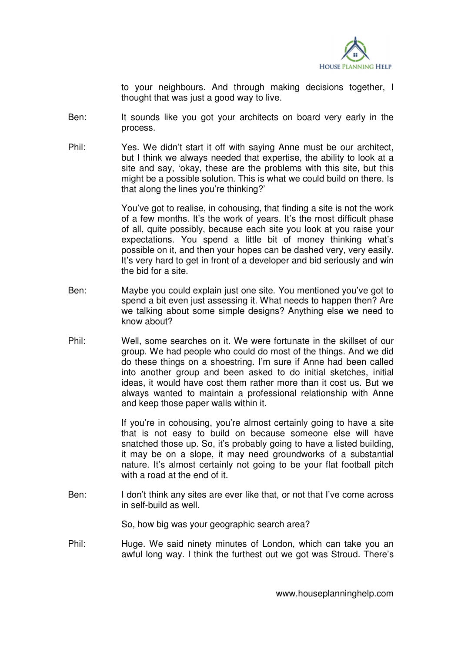

to your neighbours. And through making decisions together, I thought that was just a good way to live.

- Ben: It sounds like you got your architects on board very early in the process.
- Phil: Yes. We didn't start it off with saying Anne must be our architect, but I think we always needed that expertise, the ability to look at a site and say, 'okay, these are the problems with this site, but this might be a possible solution. This is what we could build on there. Is that along the lines you're thinking?'

 You've got to realise, in cohousing, that finding a site is not the work of a few months. It's the work of years. It's the most difficult phase of all, quite possibly, because each site you look at you raise your expectations. You spend a little bit of money thinking what's possible on it, and then your hopes can be dashed very, very easily. It's very hard to get in front of a developer and bid seriously and win the bid for a site.

- Ben: Maybe you could explain just one site. You mentioned you've got to spend a bit even just assessing it. What needs to happen then? Are we talking about some simple designs? Anything else we need to know about?
- Phil: Well, some searches on it. We were fortunate in the skillset of our group. We had people who could do most of the things. And we did do these things on a shoestring. I'm sure if Anne had been called into another group and been asked to do initial sketches, initial ideas, it would have cost them rather more than it cost us. But we always wanted to maintain a professional relationship with Anne and keep those paper walls within it.

 If you're in cohousing, you're almost certainly going to have a site that is not easy to build on because someone else will have snatched those up. So, it's probably going to have a listed building, it may be on a slope, it may need groundworks of a substantial nature. It's almost certainly not going to be your flat football pitch with a road at the end of it.

Ben: I don't think any sites are ever like that, or not that I've come across in self-build as well.

So, how big was your geographic search area?

Phil: Huge. We said ninety minutes of London, which can take you an awful long way. I think the furthest out we got was Stroud. There's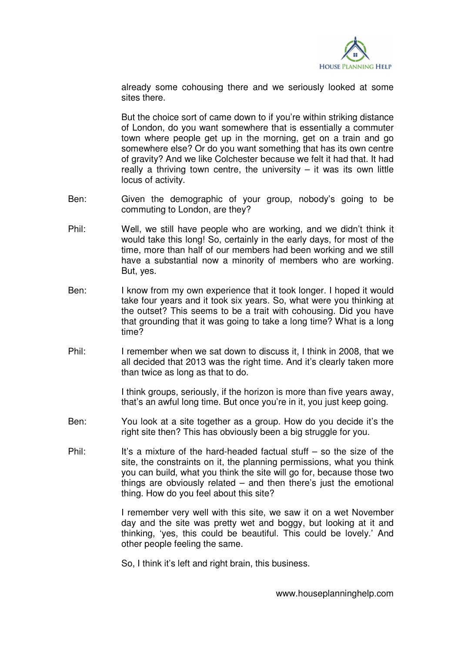

already some cohousing there and we seriously looked at some sites there.

 But the choice sort of came down to if you're within striking distance of London, do you want somewhere that is essentially a commuter town where people get up in the morning, get on a train and go somewhere else? Or do you want something that has its own centre of gravity? And we like Colchester because we felt it had that. It had really a thriving town centre, the university  $-$  it was its own little locus of activity.

- Ben: Given the demographic of your group, nobody's going to be commuting to London, are they?
- Phil: Well, we still have people who are working, and we didn't think it would take this long! So, certainly in the early days, for most of the time, more than half of our members had been working and we still have a substantial now a minority of members who are working. But, yes.
- Ben: I know from my own experience that it took longer. I hoped it would take four years and it took six years. So, what were you thinking at the outset? This seems to be a trait with cohousing. Did you have that grounding that it was going to take a long time? What is a long time?
- Phil: I remember when we sat down to discuss it, I think in 2008, that we all decided that 2013 was the right time. And it's clearly taken more than twice as long as that to do.

 I think groups, seriously, if the horizon is more than five years away, that's an awful long time. But once you're in it, you just keep going.

- Ben: You look at a site together as a group. How do you decide it's the right site then? This has obviously been a big struggle for you.
- Phil: It's a mixture of the hard-headed factual stuff  $-$  so the size of the site, the constraints on it, the planning permissions, what you think you can build, what you think the site will go for, because those two things are obviously related – and then there's just the emotional thing. How do you feel about this site?

 I remember very well with this site, we saw it on a wet November day and the site was pretty wet and boggy, but looking at it and thinking, 'yes, this could be beautiful. This could be lovely.' And other people feeling the same.

So, I think it's left and right brain, this business.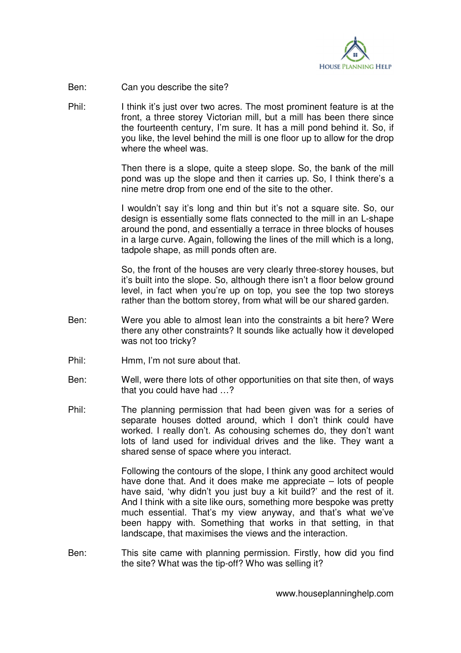

- Ben: Can you describe the site?
- Phil: I think it's just over two acres. The most prominent feature is at the front, a three storey Victorian mill, but a mill has been there since the fourteenth century, I'm sure. It has a mill pond behind it. So, if you like, the level behind the mill is one floor up to allow for the drop where the wheel was.

 Then there is a slope, quite a steep slope. So, the bank of the mill pond was up the slope and then it carries up. So, I think there's a nine metre drop from one end of the site to the other.

 I wouldn't say it's long and thin but it's not a square site. So, our design is essentially some flats connected to the mill in an L-shape around the pond, and essentially a terrace in three blocks of houses in a large curve. Again, following the lines of the mill which is a long, tadpole shape, as mill ponds often are.

 So, the front of the houses are very clearly three-storey houses, but it's built into the slope. So, although there isn't a floor below ground level, in fact when you're up on top, you see the top two storeys rather than the bottom storey, from what will be our shared garden.

- Ben: Were you able to almost lean into the constraints a bit here? Were there any other constraints? It sounds like actually how it developed was not too tricky?
- Phil: Hmm, I'm not sure about that.
- Ben: Well, were there lots of other opportunities on that site then, of ways that you could have had …?
- Phil: The planning permission that had been given was for a series of separate houses dotted around, which I don't think could have worked. I really don't. As cohousing schemes do, they don't want lots of land used for individual drives and the like. They want a shared sense of space where you interact.

 Following the contours of the slope, I think any good architect would have done that. And it does make me appreciate – lots of people have said, 'why didn't you just buy a kit build?' and the rest of it. And I think with a site like ours, something more bespoke was pretty much essential. That's my view anyway, and that's what we've been happy with. Something that works in that setting, in that landscape, that maximises the views and the interaction.

Ben: This site came with planning permission. Firstly, how did you find the site? What was the tip-off? Who was selling it?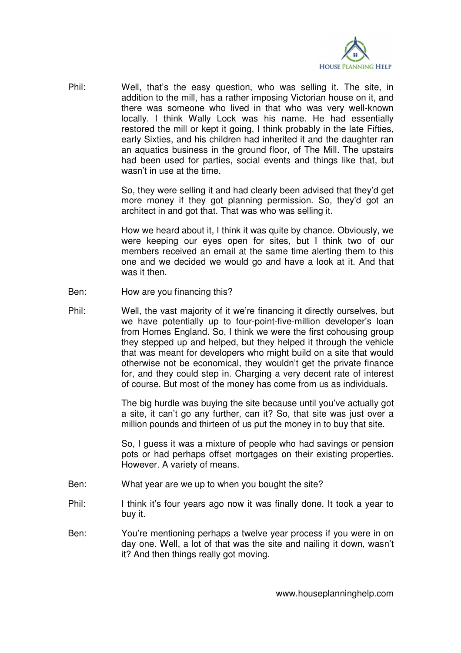

Phil: Well, that's the easy question, who was selling it. The site, in addition to the mill, has a rather imposing Victorian house on it, and there was someone who lived in that who was very well-known locally. I think Wally Lock was his name. He had essentially restored the mill or kept it going, I think probably in the late Fifties, early Sixties, and his children had inherited it and the daughter ran an aquatics business in the ground floor, of The Mill. The upstairs had been used for parties, social events and things like that, but wasn't in use at the time.

> So, they were selling it and had clearly been advised that they'd get more money if they got planning permission. So, they'd got an architect in and got that. That was who was selling it.

> How we heard about it, I think it was quite by chance. Obviously, we were keeping our eyes open for sites, but I think two of our members received an email at the same time alerting them to this one and we decided we would go and have a look at it. And that was it then.

- Ben: How are you financing this?
- Phil: Well, the vast majority of it we're financing it directly ourselves, but we have potentially up to four-point-five-million developer's loan from Homes England. So, I think we were the first cohousing group they stepped up and helped, but they helped it through the vehicle that was meant for developers who might build on a site that would otherwise not be economical, they wouldn't get the private finance for, and they could step in. Charging a very decent rate of interest of course. But most of the money has come from us as individuals.

 The big hurdle was buying the site because until you've actually got a site, it can't go any further, can it? So, that site was just over a million pounds and thirteen of us put the money in to buy that site.

 So, I guess it was a mixture of people who had savings or pension pots or had perhaps offset mortgages on their existing properties. However. A variety of means.

- Ben: What year are we up to when you bought the site?
- Phil: I think it's four years ago now it was finally done. It took a year to buy it.
- Ben: You're mentioning perhaps a twelve year process if you were in on day one. Well, a lot of that was the site and nailing it down, wasn't it? And then things really got moving.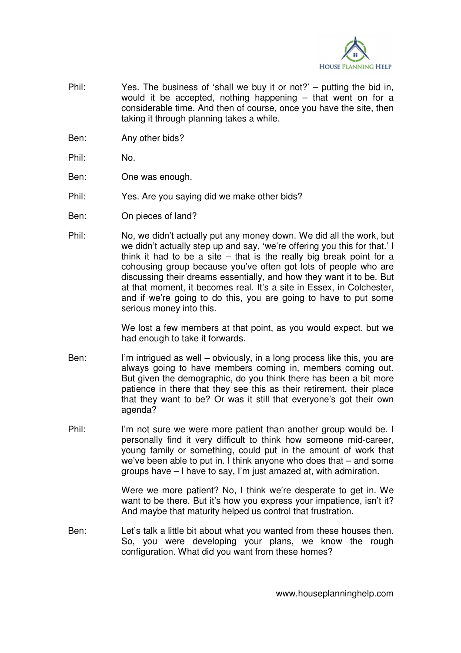

- Phil: Yes. The business of 'shall we buy it or not?' putting the bid in, would it be accepted, nothing happening – that went on for a considerable time. And then of course, once you have the site, then taking it through planning takes a while.
- Ben: Any other bids?
- Phil: No.
- Ben: One was enough.
- Phil: Yes. Are you saying did we make other bids?
- Ben: On pieces of land?
- Phil: No, we didn't actually put any money down. We did all the work, but we didn't actually step up and say, 'we're offering you this for that.' I think it had to be a site – that is the really big break point for a cohousing group because you've often got lots of people who are discussing their dreams essentially, and how they want it to be. But at that moment, it becomes real. It's a site in Essex, in Colchester, and if we're going to do this, you are going to have to put some serious money into this.

 We lost a few members at that point, as you would expect, but we had enough to take it forwards.

- Ben: I'm intrigued as well obviously, in a long process like this, you are always going to have members coming in, members coming out. But given the demographic, do you think there has been a bit more patience in there that they see this as their retirement, their place that they want to be? Or was it still that everyone's got their own agenda?
- Phil: I'm not sure we were more patient than another group would be. I personally find it very difficult to think how someone mid-career, young family or something, could put in the amount of work that we've been able to put in. I think anyone who does that – and some groups have – I have to say, I'm just amazed at, with admiration.

 Were we more patient? No, I think we're desperate to get in. We want to be there. But it's how you express your impatience, isn't it? And maybe that maturity helped us control that frustration.

Ben: Let's talk a little bit about what you wanted from these houses then. So, you were developing your plans, we know the rough configuration. What did you want from these homes?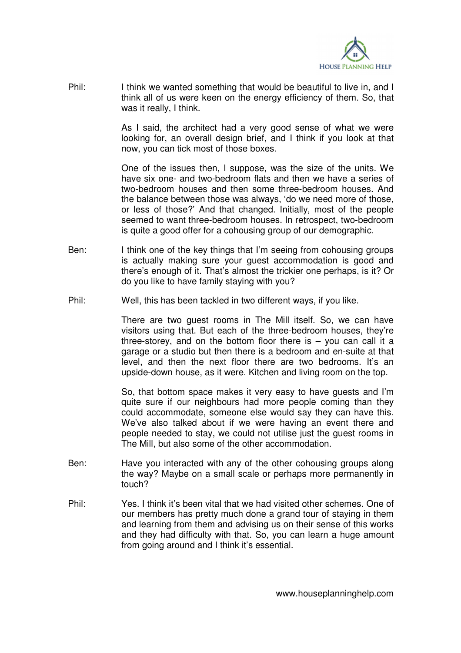

Phil: I think we wanted something that would be beautiful to live in, and I think all of us were keen on the energy efficiency of them. So, that was it really, I think.

> As I said, the architect had a very good sense of what we were looking for, an overall design brief, and I think if you look at that now, you can tick most of those boxes.

> One of the issues then, I suppose, was the size of the units. We have six one- and two-bedroom flats and then we have a series of two-bedroom houses and then some three-bedroom houses. And the balance between those was always, 'do we need more of those, or less of those?' And that changed. Initially, most of the people seemed to want three-bedroom houses. In retrospect, two-bedroom is quite a good offer for a cohousing group of our demographic.

- Ben: I think one of the key things that I'm seeing from cohousing groups is actually making sure your guest accommodation is good and there's enough of it. That's almost the trickier one perhaps, is it? Or do you like to have family staying with you?
- Phil: Well, this has been tackled in two different ways, if you like.

 There are two guest rooms in The Mill itself. So, we can have visitors using that. But each of the three-bedroom houses, they're three-storey, and on the bottom floor there is  $-$  you can call it a garage or a studio but then there is a bedroom and en-suite at that level, and then the next floor there are two bedrooms. It's an upside-down house, as it were. Kitchen and living room on the top.

 So, that bottom space makes it very easy to have guests and I'm quite sure if our neighbours had more people coming than they could accommodate, someone else would say they can have this. We've also talked about if we were having an event there and people needed to stay, we could not utilise just the guest rooms in The Mill, but also some of the other accommodation.

- Ben: Have you interacted with any of the other cohousing groups along the way? Maybe on a small scale or perhaps more permanently in touch?
- Phil: Yes. I think it's been vital that we had visited other schemes. One of our members has pretty much done a grand tour of staying in them and learning from them and advising us on their sense of this works and they had difficulty with that. So, you can learn a huge amount from going around and I think it's essential.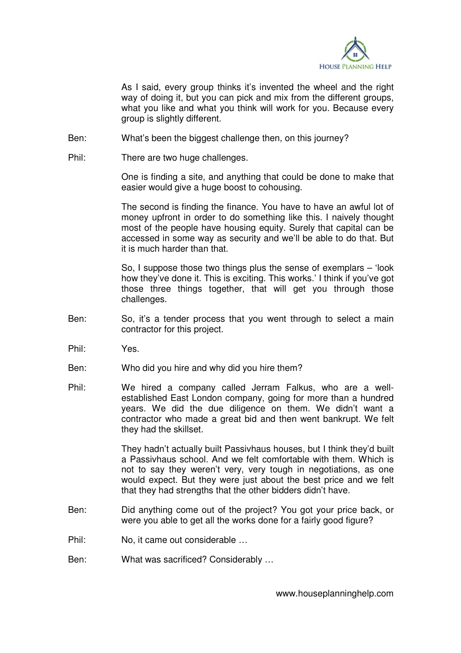

 As I said, every group thinks it's invented the wheel and the right way of doing it, but you can pick and mix from the different groups, what you like and what you think will work for you. Because every group is slightly different.

- Ben: What's been the biggest challenge then, on this journey?
- Phil: There are two huge challenges.

 One is finding a site, and anything that could be done to make that easier would give a huge boost to cohousing.

 The second is finding the finance. You have to have an awful lot of money upfront in order to do something like this. I naively thought most of the people have housing equity. Surely that capital can be accessed in some way as security and we'll be able to do that. But it is much harder than that.

 So, I suppose those two things plus the sense of exemplars – 'look how they've done it. This is exciting. This works.' I think if you've got those three things together, that will get you through those challenges.

- Ben: So, it's a tender process that you went through to select a main contractor for this project.
- Phil: Yes.
- Ben: Who did you hire and why did you hire them?
- Phil: We hired a company called Jerram Falkus, who are a wellestablished East London company, going for more than a hundred years. We did the due diligence on them. We didn't want a contractor who made a great bid and then went bankrupt. We felt they had the skillset.

 They hadn't actually built Passivhaus houses, but I think they'd built a Passivhaus school. And we felt comfortable with them. Which is not to say they weren't very, very tough in negotiations, as one would expect. But they were just about the best price and we felt that they had strengths that the other bidders didn't have.

- Ben: Did anything come out of the project? You got your price back, or were you able to get all the works done for a fairly good figure?
- Phil: No, it came out considerable ...
- Ben: What was sacrificed? Considerably …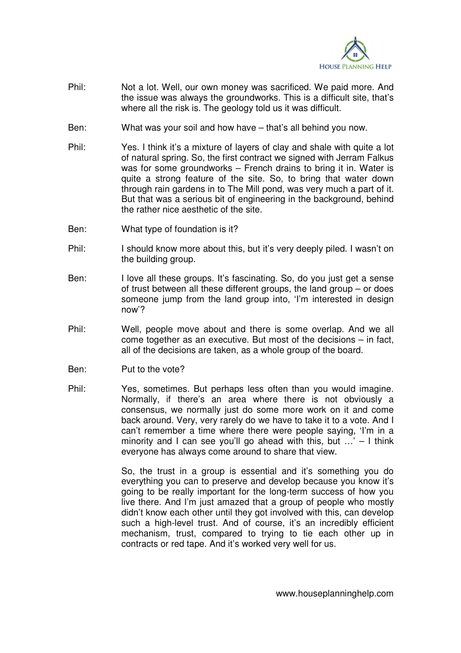

- Phil: Not a lot. Well, our own money was sacrificed. We paid more. And the issue was always the groundworks. This is a difficult site, that's where all the risk is. The geology told us it was difficult.
- Ben: What was your soil and how have that's all behind you now.
- Phil: Yes. I think it's a mixture of layers of clay and shale with quite a lot of natural spring. So, the first contract we signed with Jerram Falkus was for some groundworks – French drains to bring it in. Water is quite a strong feature of the site. So, to bring that water down through rain gardens in to The Mill pond, was very much a part of it. But that was a serious bit of engineering in the background, behind the rather nice aesthetic of the site.
- Ben: What type of foundation is it?
- Phil: I should know more about this, but it's very deeply piled. I wasn't on the building group.
- Ben: I love all these groups. It's fascinating. So, do you just get a sense of trust between all these different groups, the land group – or does someone jump from the land group into, 'I'm interested in design now'?
- Phil: Well, people move about and there is some overlap. And we all come together as an executive. But most of the decisions – in fact, all of the decisions are taken, as a whole group of the board.
- Ben: Put to the vote?
- Phil: Yes, sometimes. But perhaps less often than you would imagine. Normally, if there's an area where there is not obviously a consensus, we normally just do some more work on it and come back around. Very, very rarely do we have to take it to a vote. And I can't remember a time where there were people saying, 'I'm in a minority and I can see you'll go ahead with this, but  $\ldots$ ' – I think everyone has always come around to share that view.

 So, the trust in a group is essential and it's something you do everything you can to preserve and develop because you know it's going to be really important for the long-term success of how you live there. And I'm just amazed that a group of people who mostly didn't know each other until they got involved with this, can develop such a high-level trust. And of course, it's an incredibly efficient mechanism, trust, compared to trying to tie each other up in contracts or red tape. And it's worked very well for us.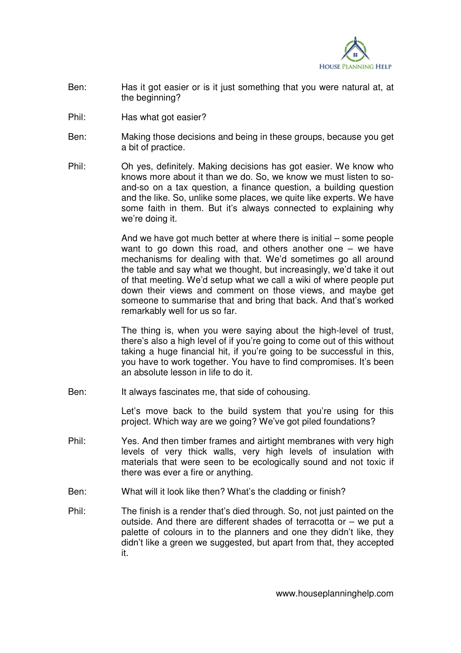

- Ben: Has it got easier or is it just something that you were natural at, at the beginning?
- Phil: Has what got easier?
- Ben: Making those decisions and being in these groups, because you get a bit of practice.
- Phil: Oh yes, definitely. Making decisions has got easier. We know who knows more about it than we do. So, we know we must listen to soand-so on a tax question, a finance question, a building question and the like. So, unlike some places, we quite like experts. We have some faith in them. But it's always connected to explaining why we're doing it.

 And we have got much better at where there is initial – some people want to go down this road, and others another one  $-$  we have mechanisms for dealing with that. We'd sometimes go all around the table and say what we thought, but increasingly, we'd take it out of that meeting. We'd setup what we call a wiki of where people put down their views and comment on those views, and maybe get someone to summarise that and bring that back. And that's worked remarkably well for us so far.

 The thing is, when you were saying about the high-level of trust, there's also a high level of if you're going to come out of this without taking a huge financial hit, if you're going to be successful in this, you have to work together. You have to find compromises. It's been an absolute lesson in life to do it.

Ben: It always fascinates me, that side of cohousing.

 Let's move back to the build system that you're using for this project. Which way are we going? We've got piled foundations?

- Phil: Yes. And then timber frames and airtight membranes with very high levels of very thick walls, very high levels of insulation with materials that were seen to be ecologically sound and not toxic if there was ever a fire or anything.
- Ben: What will it look like then? What's the cladding or finish?
- Phil: The finish is a render that's died through. So, not just painted on the outside. And there are different shades of terracotta or – we put a palette of colours in to the planners and one they didn't like, they didn't like a green we suggested, but apart from that, they accepted it.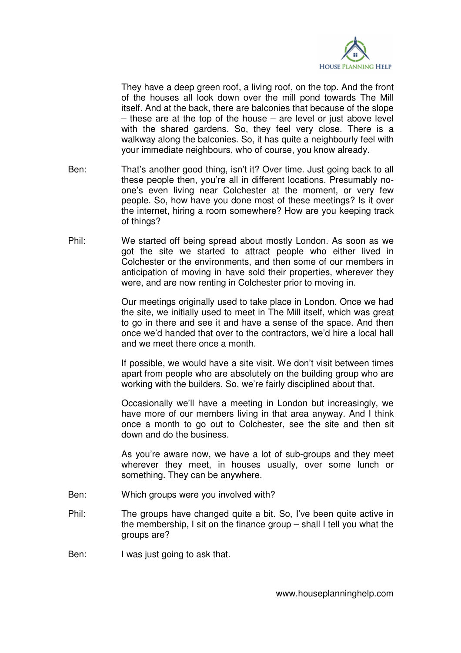

 They have a deep green roof, a living roof, on the top. And the front of the houses all look down over the mill pond towards The Mill itself. And at the back, there are balconies that because of the slope  $-$  these are at the top of the house  $-$  are level or just above level with the shared gardens. So, they feel very close. There is a walkway along the balconies. So, it has quite a neighbourly feel with your immediate neighbours, who of course, you know already.

- Ben: That's another good thing, isn't it? Over time. Just going back to all these people then, you're all in different locations. Presumably noone's even living near Colchester at the moment, or very few people. So, how have you done most of these meetings? Is it over the internet, hiring a room somewhere? How are you keeping track of things?
- Phil: We started off being spread about mostly London. As soon as we got the site we started to attract people who either lived in Colchester or the environments, and then some of our members in anticipation of moving in have sold their properties, wherever they were, and are now renting in Colchester prior to moving in.

 Our meetings originally used to take place in London. Once we had the site, we initially used to meet in The Mill itself, which was great to go in there and see it and have a sense of the space. And then once we'd handed that over to the contractors, we'd hire a local hall and we meet there once a month.

 If possible, we would have a site visit. We don't visit between times apart from people who are absolutely on the building group who are working with the builders. So, we're fairly disciplined about that.

 Occasionally we'll have a meeting in London but increasingly, we have more of our members living in that area anyway. And I think once a month to go out to Colchester, see the site and then sit down and do the business.

 As you're aware now, we have a lot of sub-groups and they meet wherever they meet, in houses usually, over some lunch or something. They can be anywhere.

- Ben: Which groups were you involved with?
- Phil: The groups have changed quite a bit. So, I've been quite active in the membership, I sit on the finance group – shall I tell you what the groups are?

Ben: I was just going to ask that.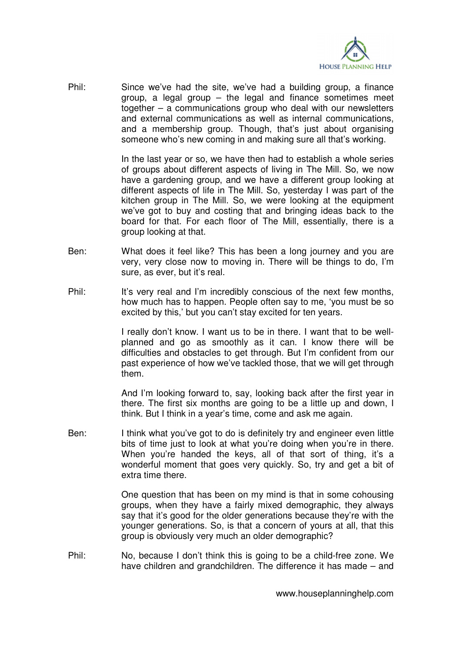

Phil: Since we've had the site, we've had a building group, a finance group, a legal group – the legal and finance sometimes meet together – a communications group who deal with our newsletters and external communications as well as internal communications, and a membership group. Though, that's just about organising someone who's new coming in and making sure all that's working.

> In the last year or so, we have then had to establish a whole series of groups about different aspects of living in The Mill. So, we now have a gardening group, and we have a different group looking at different aspects of life in The Mill. So, yesterday I was part of the kitchen group in The Mill. So, we were looking at the equipment we've got to buy and costing that and bringing ideas back to the board for that. For each floor of The Mill, essentially, there is a group looking at that.

- Ben: What does it feel like? This has been a long journey and you are very, very close now to moving in. There will be things to do, I'm sure, as ever, but it's real.
- Phil: It's very real and I'm incredibly conscious of the next few months, how much has to happen. People often say to me, 'you must be so excited by this,' but you can't stay excited for ten years.

 I really don't know. I want us to be in there. I want that to be wellplanned and go as smoothly as it can. I know there will be difficulties and obstacles to get through. But I'm confident from our past experience of how we've tackled those, that we will get through them.

 And I'm looking forward to, say, looking back after the first year in there. The first six months are going to be a little up and down, I think. But I think in a year's time, come and ask me again.

Ben: I think what you've got to do is definitely try and engineer even little bits of time just to look at what you're doing when you're in there. When you're handed the keys, all of that sort of thing, it's a wonderful moment that goes very quickly. So, try and get a bit of extra time there.

> One question that has been on my mind is that in some cohousing groups, when they have a fairly mixed demographic, they always say that it's good for the older generations because they're with the younger generations. So, is that a concern of yours at all, that this group is obviously very much an older demographic?

Phil: No, because I don't think this is going to be a child-free zone. We have children and grandchildren. The difference it has made – and